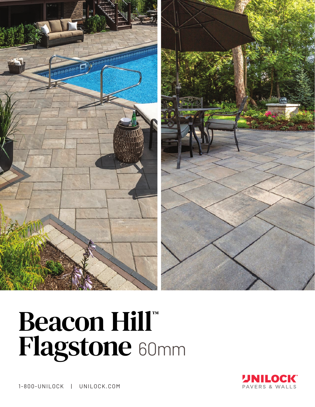

# Beacon Hill™ Flagstone 60mm



1-800-UNILOCK | UNILOCK.COM